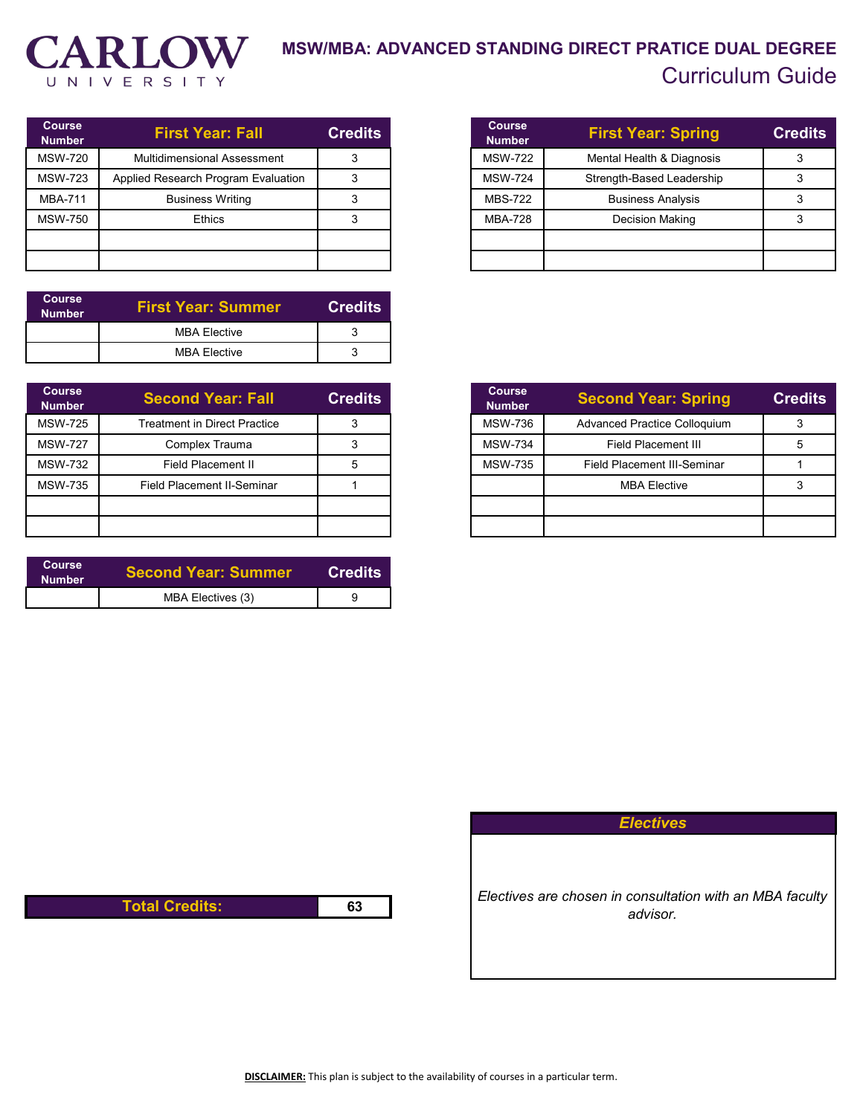

## **MSW/MBA: ADVANCED STANDING DIRECT PRATICE DUAL DEGREE** Curriculum Guide

| <b>Course</b><br><b>Number</b> | <b>First Year: Fall</b>             | <b>Credits</b> |
|--------------------------------|-------------------------------------|----------------|
| <b>MSW-720</b>                 | <b>Multidimensional Assessment</b>  |                |
| <b>MSW-723</b>                 | Applied Research Program Evaluation |                |
| <b>MBA-711</b>                 | <b>Business Writing</b>             |                |
| <b>MSW-750</b>                 | <b>Ethics</b>                       |                |
|                                |                                     |                |
|                                |                                     |                |

| <b>Course</b><br><b>Number</b> | <b>First Year: Summer</b> | <b>Credits</b> ' |
|--------------------------------|---------------------------|------------------|
|                                | <b>MBA Flective</b>       |                  |
|                                | <b>MBA Flective</b>       |                  |

| <b>Course</b><br><b>Number</b> | <b>Second Year: Fall</b>            | <b>Credits</b> |
|--------------------------------|-------------------------------------|----------------|
| <b>MSW-725</b>                 | <b>Treatment in Direct Practice</b> |                |
| <b>MSW-727</b>                 | Complex Trauma                      |                |
| <b>MSW-732</b>                 | Field Placement II                  |                |
| <b>MSW-735</b>                 | Field Placement II-Seminar          |                |
|                                |                                     |                |
|                                |                                     |                |

| <b>Course</b><br><b>Number</b> | <b>Second Year: Summer</b> | <b>Credits</b> |
|--------------------------------|----------------------------|----------------|
|                                | MBA Electives (3)          |                |

| <b>Course</b><br><b>Number</b>              | <b>First Year: Spring</b> | <b>Credits</b> |
|---------------------------------------------|---------------------------|----------------|
| <b>MSW-722</b>                              | Mental Health & Diagnosis | 3              |
| <b>MSW-724</b><br>Strength-Based Leadership |                           |                |
| MBS-722                                     | <b>Business Analysis</b>  |                |
| <b>MBA-728</b>                              | <b>Decision Making</b>    |                |
|                                             |                           |                |
|                                             |                           |                |

| <b>Course</b><br><b>Number</b> | <b>Second Year: Spring</b>          | <b>Credits</b> |
|--------------------------------|-------------------------------------|----------------|
| <b>MSW-736</b>                 | <b>Advanced Practice Colloquium</b> | 3              |
| <b>MSW-734</b>                 | Field Placement III                 | 5              |
| <b>MSW-735</b>                 | <b>Field Placement III-Seminar</b>  |                |
|                                | <b>MBA Elective</b>                 |                |
|                                |                                     |                |
|                                |                                     |                |

*Electives*

*Electives are chosen in consultation with an MBA faculty advisor.*

**Total Credits: 63**